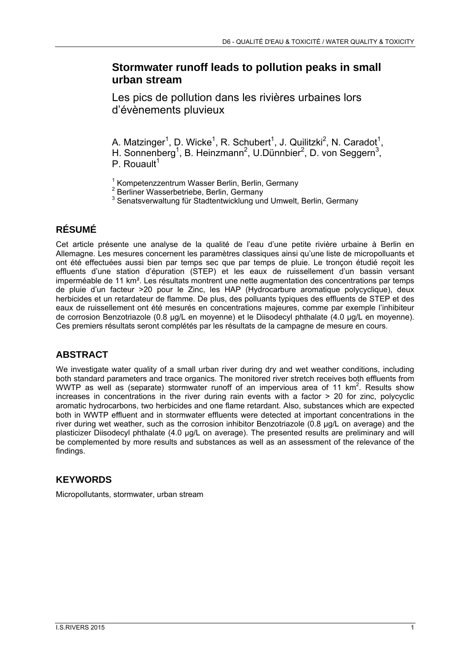# **Stormwater runoff leads to pollution peaks in small urban stream**

Les pics de pollution dans les rivières urbaines lors d'évènements pluvieux

A. Matzinger<sup>1</sup>, D. Wicke<sup>1</sup>, R. Schubert<sup>1</sup>, J. Quilitzki<sup>2</sup>, N. Caradot<sup>1</sup>, H. Sonnenberg<sup>1</sup>, B. Heinzmann<sup>2</sup>, U.Dünnbier<sup>2</sup>, D. von Seggern<sup>3</sup>, P. Rouault<sup>1</sup>

<sup>1</sup> Kompetenzzentrum Wasser Berlin, Berlin, Germany<br><sup>2</sup> Berliner Wasserhetrishe, Berlin, Cermany

2 Berliner Wasserbetriebe, Berlin, Germany

<sup>3</sup> Senatsverwaltung für Stadtentwicklung und Umwelt, Berlin, Germany

## **RÉSUMÉ**

Cet article présente une analyse de la qualité de l'eau d'une petite rivière urbaine à Berlin en Allemagne. Les mesures concernent les paramètres classiques ainsi qu'une liste de micropolluants et ont été effectuées aussi bien par temps sec que par temps de pluie. Le tronçon étudié reçoit les effluents d'une station d'épuration (STEP) et les eaux de ruissellement d'un bassin versant imperméable de 11 km<sup>2</sup>. Les résultats montrent une nette augmentation des concentrations par temps de pluie d'un facteur >20 pour le Zinc, les HAP (Hydrocarbure aromatique polycyclique), deux herbicides et un retardateur de flamme. De plus, des polluants typiques des effluents de STEP et des eaux de ruissellement ont été mesurés en concentrations majeures, comme par exemple l'inhibiteur de corrosion Benzotriazole (0.8 μg/L en moyenne) et le Diisodecyl phthalate (4.0 μg/L en moyenne). Ces premiers résultats seront complétés par les résultats de la campagne de mesure en cours.

## **ABSTRACT**

We investigate water quality of a small urban river during dry and wet weather conditions, including both standard parameters and trace organics. The monitored river stretch receives both effluents from WWTP as well as (separate) stormwater runoff of an impervious area of 11  $km^2$ . Results show increases in concentrations in the river during rain events with a factor > 20 for zinc, polycyclic aromatic hydrocarbons, two herbicides and one flame retardant. Also, substances which are expected both in WWTP effluent and in stormwater effluents were detected at important concentrations in the river during wet weather, such as the corrosion inhibitor Benzotriazole (0.8 μg/L on average) and the plasticizer Diisodecyl phthalate (4.0 μg/L on average). The presented results are preliminary and will be complemented by more results and substances as well as an assessment of the relevance of the findings.

#### **KEYWORDS**

Micropollutants, stormwater, urban stream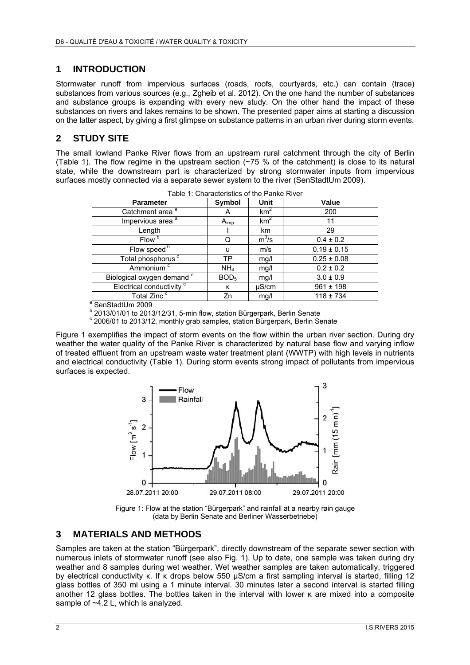#### **1 INTRODUCTION**

Stormwater runoff from impervious surfaces (roads, roofs, courtyards, etc.) can contain (trace) substances from various sources (e.g., Zgheib et al. 2012). On the one hand the number of substances and substance groups is expanding with every new study. On the other hand the impact of these substances on rivers and lakes remains to be shown. The presented paper aims at starting a discussion on the latter aspect, by giving a first glimpse on substance patterns in an urban river during storm events.

## **2 STUDY SITE**

The small lowland Panke River flows from an upstream rural catchment through the city of Berlin (Table 1). The flow regime in the upstream section  $(275\%$  of the catchment) is close to its natural state, while the downstream part is characterized by strong stormwater inputs from impervious surfaces mostly connected via a separate sewer system to the river (SenStadtUm 2009).

| Table T. Gridiacteristics of the Parike River |                  |                 |                 |
|-----------------------------------------------|------------------|-----------------|-----------------|
| <b>Parameter</b>                              | Symbol           | Unit            | Value           |
| Catchment area <sup>a</sup>                   | А                | km <sup>2</sup> | 200             |
| Impervious area <sup>a</sup>                  | A <sub>imp</sub> | km <sup>2</sup> | 11              |
| Length                                        |                  | km              | 29              |
| Flow <sup>b</sup>                             | Q                | $m^3/s$         | $0.4 \pm 0.2$   |
| Flow speed <sup>b</sup>                       | u                | m/s             | $0.19 \pm 0.15$ |
| Total phosphorus <sup>c</sup>                 | TP               | mg/l            | $0.25 \pm 0.08$ |
| Ammonium <sup>c</sup>                         | NH <sub>4</sub>  | mg/l            | $0.2 \pm 0.2$   |
| Biological oxygen demand <sup>c</sup>         | BOD <sub>5</sub> | mg/l            | $3.0 \pm 0.9$   |
| Electrical conductivity <sup>c</sup>          | к                | $\mu$ S/cm      | $961 \pm 198$   |
| Total Zinc <sup>c</sup>                       | Zn               | mg/l            | $118 \pm 734$   |
| $a$ CanCtadillon 2000                         |                  |                 |                 |

a SenStadtUm 2009

<sup>b</sup> 2013/01/01 to 2013/12/31, 5-min flow, station Bürgerpark, Berlin Senate<br><sup>c</sup> 2006/01 to 2013/12, monthly grab comples, station Bürgerpark, Berlin Sc

<sup>c</sup> 2006/01 to 2013/12, monthly grab samples, station Bürgerpark, Berlin Senate

Figure 1 exemplifies the impact of storm events on the flow within the urban river section. During dry weather the water quality of the Panke River is characterized by natural base flow and varying inflow of treated effluent from an upstream waste water treatment plant (WWTP) with high levels in nutrients and electrical conductivity (Table 1). During storm events strong impact of pollutants from impervious surfaces is expected.



Figure 1: Flow at the station "Bürgerpark" and rainfall at a nearby rain gauge (data by Berlin Senate and Berliner Wasserbetriebe)

#### **3 MATERIALS AND METHODS**

Samples are taken at the station "Bürgerpark", directly downstream of the separate sewer section with numerous inlets of stormwater runoff (see also Fig. 1). Up to date, one sample was taken during dry weather and 8 samples during wet weather. Wet weather samples are taken automatically, triggered by electrical conductivity κ. If κ drops below 550 μS/cm a first sampling interval is started, filling 12 glass bottles of 350 ml using a 1 minute interval. 30 minutes later a second interval is started filling another 12 glass bottles. The bottles taken in the interval with lower κ are mixed into a composite sample of  $\sim$ 4.2 L, which is analyzed.